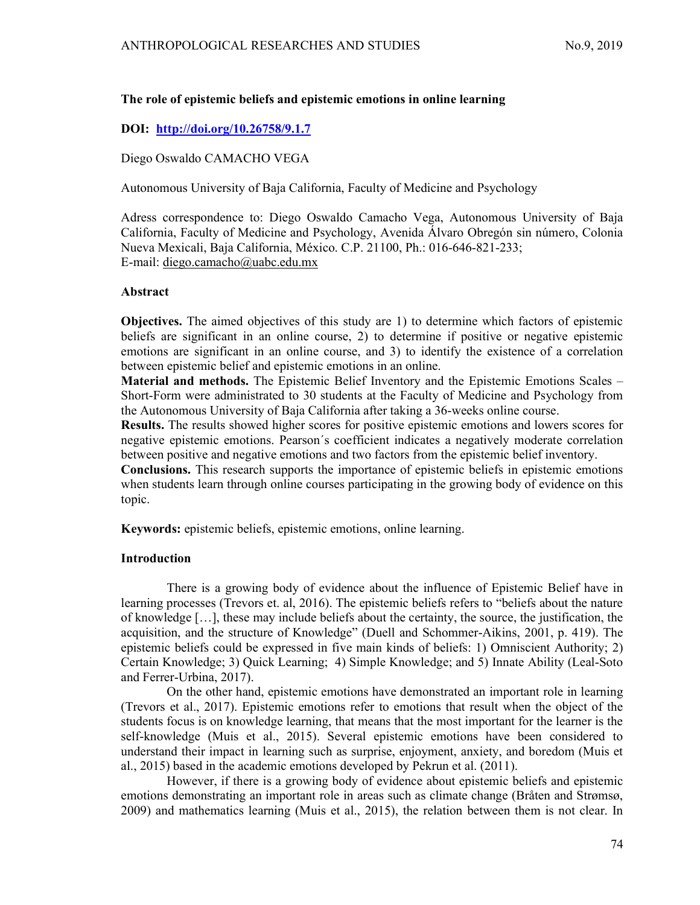## The role of epistemic beliefs and epistemic emotions in online learning

# DOI: http://doi.org/10.26758/9.1.7

Diego Oswaldo CAMACHO VEGA

Autonomous University of Baja California, Faculty of Medicine and Psychology

Adress correspondence to: Diego Oswaldo Camacho Vega, Autonomous University of Baja California, Faculty of Medicine and Psychology, Avenida Álvaro Obregón sin número, Colonia Nueva Mexicali, Baja California, México. C.P. 21100, Ph.: 016-646-821-233; E-mail: diego.camacho@uabc.edu.mx

### Abstract

Objectives. The aimed objectives of this study are 1) to determine which factors of epistemic beliefs are significant in an online course, 2) to determine if positive or negative epistemic emotions are significant in an online course, and 3) to identify the existence of a correlation between epistemic belief and epistemic emotions in an online.

Material and methods. The Epistemic Belief Inventory and the Epistemic Emotions Scales – Short-Form were administrated to 30 students at the Faculty of Medicine and Psychology from the Autonomous University of Baja California after taking a 36-weeks online course.

Results. The results showed higher scores for positive epistemic emotions and lowers scores for negative epistemic emotions. Pearson´s coefficient indicates a negatively moderate correlation between positive and negative emotions and two factors from the epistemic belief inventory.

Conclusions. This research supports the importance of epistemic beliefs in epistemic emotions when students learn through online courses participating in the growing body of evidence on this topic.

Keywords: epistemic beliefs, epistemic emotions, online learning.

### Introduction

There is a growing body of evidence about the influence of Epistemic Belief have in learning processes (Trevors et. al, 2016). The epistemic beliefs refers to "beliefs about the nature of knowledge […], these may include beliefs about the certainty, the source, the justification, the acquisition, and the structure of Knowledge" (Duell and Schommer-Aikins, 2001, p. 419). The epistemic beliefs could be expressed in five main kinds of beliefs: 1) Omniscient Authority; 2) Certain Knowledge; 3) Quick Learning; 4) Simple Knowledge; and 5) Innate Ability (Leal-Soto and Ferrer-Urbina, 2017).

On the other hand, epistemic emotions have demonstrated an important role in learning (Trevors et al., 2017). Epistemic emotions refer to emotions that result when the object of the students focus is on knowledge learning, that means that the most important for the learner is the self-knowledge (Muis et al., 2015). Several epistemic emotions have been considered to understand their impact in learning such as surprise, enjoyment, anxiety, and boredom (Muis et al., 2015) based in the academic emotions developed by Pekrun et al. (2011).

However, if there is a growing body of evidence about epistemic beliefs and epistemic emotions demonstrating an important role in areas such as climate change (Bråten and Strømsø, 2009) and mathematics learning (Muis et al., 2015), the relation between them is not clear. In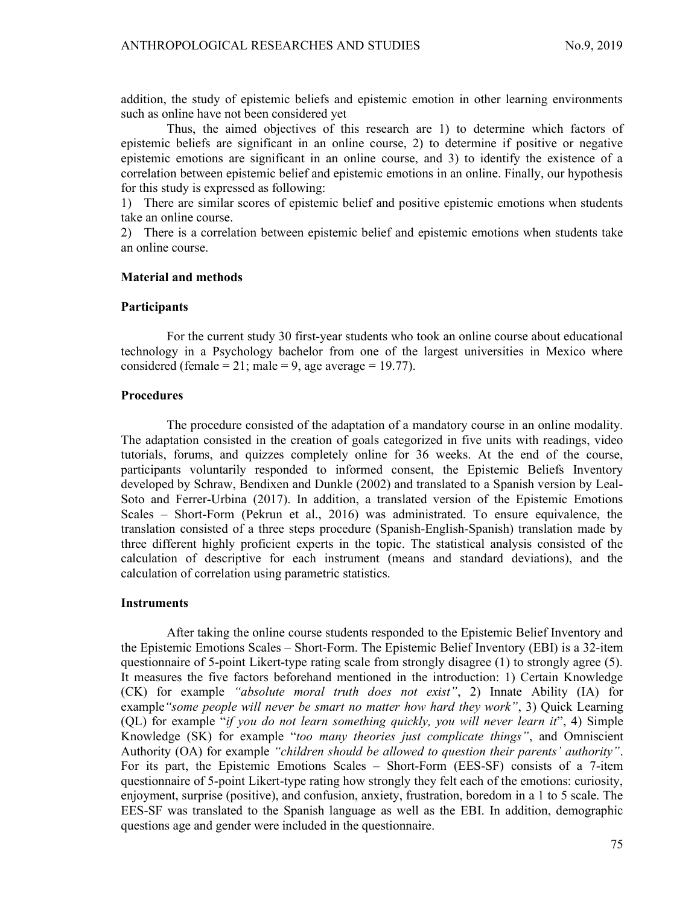addition, the study of epistemic beliefs and epistemic emotion in other learning environments such as online have not been considered yet

Thus, the aimed objectives of this research are 1) to determine which factors of epistemic beliefs are significant in an online course, 2) to determine if positive or negative epistemic emotions are significant in an online course, and 3) to identify the existence of a correlation between epistemic belief and epistemic emotions in an online. Finally, our hypothesis for this study is expressed as following:

1) There are similar scores of epistemic belief and positive epistemic emotions when students take an online course.

2) There is a correlation between epistemic belief and epistemic emotions when students take an online course.

#### Material and methods

#### Participants

For the current study 30 first-year students who took an online course about educational technology in a Psychology bachelor from one of the largest universities in Mexico where considered (female = 21; male = 9, age average = 19.77).

## **Procedures**

The procedure consisted of the adaptation of a mandatory course in an online modality. The adaptation consisted in the creation of goals categorized in five units with readings, video tutorials, forums, and quizzes completely online for 36 weeks. At the end of the course, participants voluntarily responded to informed consent, the Epistemic Beliefs Inventory developed by Schraw, Bendixen and Dunkle (2002) and translated to a Spanish version by Leal-Soto and Ferrer-Urbina (2017). In addition, a translated version of the Epistemic Emotions Scales – Short-Form (Pekrun et al., 2016) was administrated. To ensure equivalence, the translation consisted of a three steps procedure (Spanish-English-Spanish) translation made by three different highly proficient experts in the topic. The statistical analysis consisted of the calculation of descriptive for each instrument (means and standard deviations), and the calculation of correlation using parametric statistics.

### **Instruments**

After taking the online course students responded to the Epistemic Belief Inventory and the Epistemic Emotions Scales – Short-Form. The Epistemic Belief Inventory (EBI) is a 32-item questionnaire of 5-point Likert-type rating scale from strongly disagree (1) to strongly agree (5). It measures the five factors beforehand mentioned in the introduction: 1) Certain Knowledge (CK) for example "absolute moral truth does not exist", 2) Innate Ability (IA) for example "some people will never be smart no matter how hard they work", 3) Quick Learning (QL) for example "if you do not learn something quickly, you will never learn it", 4) Simple Knowledge (SK) for example "too many theories just complicate things", and Omniscient Authority (OA) for example "*children should be allowed to question their parents' authority*". For its part, the Epistemic Emotions Scales – Short-Form (EES-SF) consists of a 7-item questionnaire of 5-point Likert-type rating how strongly they felt each of the emotions: curiosity, enjoyment, surprise (positive), and confusion, anxiety, frustration, boredom in a 1 to 5 scale. The EES-SF was translated to the Spanish language as well as the EBI. In addition, demographic questions age and gender were included in the questionnaire.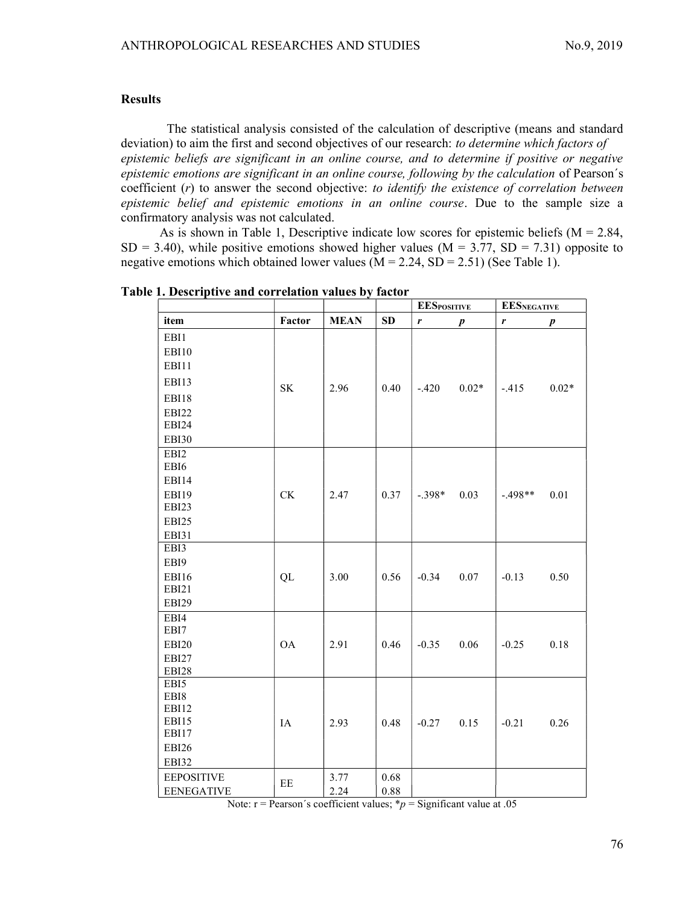### Results

The statistical analysis consisted of the calculation of descriptive (means and standard deviation) to aim the first and second objectives of our research: to *determine which factors of* epistemic beliefs are significant in an online course, and to determine if positive or negative epistemic emotions are significant in an online course, following by the calculation of Pearson´s coefficient (r) to answer the second objective: to identify the existence of correlation between epistemic belief and epistemic emotions in an online course. Due to the sample size a confirmatory analysis was not calculated.

As is shown in Table 1, Descriptive indicate low scores for epistemic beliefs  $(M = 2.84,$  $SD = 3.40$ ), while positive emotions showed higher values (M = 3.77, SD = 7.31) opposite to negative emotions which obtained lower values  $(M = 2.24, SD = 2.51)$  (See Table 1).

|                   |                        |             |      | <b>EESPOSITIVE</b> |                  | <b>EESNEGATIVE</b> |                  |
|-------------------|------------------------|-------------|------|--------------------|------------------|--------------------|------------------|
| item              | Factor                 | <b>MEAN</b> | SD   | r                  | $\boldsymbol{p}$ | r                  | $\boldsymbol{p}$ |
| EBI1              |                        |             |      |                    |                  |                    |                  |
| EBI10             |                        |             |      |                    |                  |                    |                  |
| EBI11             |                        |             |      |                    |                  |                    |                  |
| EBI13             | SK                     | 2.96        | 0.40 | $-.420$            | $0.02*$          | $-.415$            | $0.02*$          |
| EBI18             |                        |             |      |                    |                  |                    |                  |
| EBI22             |                        |             |      |                    |                  |                    |                  |
| EBI24             |                        |             |      |                    |                  |                    |                  |
| <b>EBI30</b>      |                        |             |      |                    |                  |                    |                  |
| EBI2              |                        |             |      |                    |                  |                    |                  |
| EBI6              |                        |             |      |                    |                  |                    |                  |
| EBI14             |                        |             |      |                    |                  |                    |                  |
| EBI19             | $\mathrm{C}\mathrm{K}$ | 2.47        | 0.37 | $-.398*$           | 0.03             | $-.498**$          | 0.01             |
| EBI23             |                        |             |      |                    |                  |                    |                  |
| EBI25             |                        |             |      |                    |                  |                    |                  |
| EBI31             |                        |             |      |                    |                  |                    |                  |
| EBI3              |                        |             |      |                    |                  |                    |                  |
| EBI9              |                        |             |      |                    |                  |                    |                  |
| EBI16             | QL                     | 3.00        | 0.56 | $-0.34$            | $0.07\,$         | $-0.13$            | 0.50             |
| EBI21             |                        |             |      |                    |                  |                    |                  |
| EBI29             |                        |             |      |                    |                  |                    |                  |
| EBI4              |                        |             |      |                    |                  |                    |                  |
| EBI7              |                        |             |      |                    |                  |                    |                  |
| EBI20             | <b>OA</b>              | 2.91        | 0.46 | $-0.35$            | 0.06             | $-0.25$            | 0.18             |
| EBI27             |                        |             |      |                    |                  |                    |                  |
| EBI28             |                        |             |      |                    |                  |                    |                  |
| EBI5              |                        |             |      |                    |                  |                    |                  |
| EBI8              |                        |             |      |                    |                  |                    |                  |
| EBI12<br>EBI15    |                        |             |      |                    |                  |                    |                  |
| EBI17             | IA                     | 2.93        | 0.48 | $-0.27$            | 0.15             | $-0.21$            | 0.26             |
| EBI26             |                        |             |      |                    |                  |                    |                  |
| EBI32             |                        |             |      |                    |                  |                    |                  |
| <b>EEPOSITIVE</b> |                        | 3.77        | 0.68 |                    |                  |                    |                  |
|                   | EE                     |             |      |                    |                  |                    |                  |
| <b>EENEGATIVE</b> |                        | 2.24        | 0.88 |                    |                  |                    |                  |

Table 1. Descriptive and correlation values by factor

Note:  $r =$  Pearson's coefficient values; \* $p =$  Significant value at .05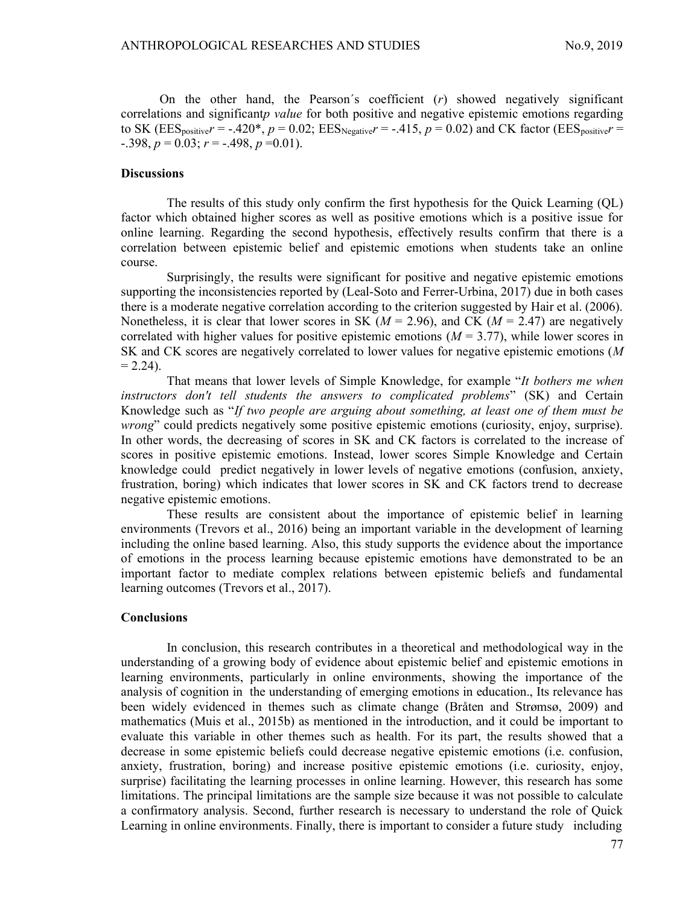On the other hand, the Pearson's coefficient  $(r)$  showed negatively significant correlations and significant*p value* for both positive and negative epistemic emotions regarding to SK ( $\text{EES}_{\text{positive}}r = -.420^*$ ,  $p = 0.02$ ;  $\text{EES}_{\text{Negative}}r = -.415$ ,  $p = 0.02$ ) and CK factor ( $\text{EES}_{\text{positive}}r =$  $-0.398, p = 0.03; r = -0.498, p = 0.01$ .

#### **Discussions**

The results of this study only confirm the first hypothesis for the Quick Learning (QL) factor which obtained higher scores as well as positive emotions which is a positive issue for online learning. Regarding the second hypothesis, effectively results confirm that there is a correlation between epistemic belief and epistemic emotions when students take an online course.

Surprisingly, the results were significant for positive and negative epistemic emotions supporting the inconsistencies reported by (Leal-Soto and Ferrer-Urbina, 2017) due in both cases there is a moderate negative correlation according to the criterion suggested by Hair et al. (2006). Nonetheless, it is clear that lower scores in SK ( $M = 2.96$ ), and CK ( $M = 2.47$ ) are negatively correlated with higher values for positive epistemic emotions  $(M = 3.77)$ , while lower scores in SK and CK scores are negatively correlated to lower values for negative epistemic emotions (M  $= 2.24$ ).

That means that lower levels of Simple Knowledge, for example "It bothers me when instructors don't tell students the answers to complicated problems" (SK) and Certain Knowledge such as "If two people are arguing about something, at least one of them must be wrong" could predicts negatively some positive epistemic emotions (curiosity, enjoy, surprise). In other words, the decreasing of scores in SK and CK factors is correlated to the increase of scores in positive epistemic emotions. Instead, lower scores Simple Knowledge and Certain knowledge could predict negatively in lower levels of negative emotions (confusion, anxiety, frustration, boring) which indicates that lower scores in SK and CK factors trend to decrease negative epistemic emotions.

These results are consistent about the importance of epistemic belief in learning environments (Trevors et al., 2016) being an important variable in the development of learning including the online based learning. Also, this study supports the evidence about the importance of emotions in the process learning because epistemic emotions have demonstrated to be an important factor to mediate complex relations between epistemic beliefs and fundamental learning outcomes (Trevors et al., 2017).

#### **Conclusions**

In conclusion, this research contributes in a theoretical and methodological way in the understanding of a growing body of evidence about epistemic belief and epistemic emotions in learning environments, particularly in online environments, showing the importance of the analysis of cognition in the understanding of emerging emotions in education., Its relevance has been widely evidenced in themes such as climate change (Bråten and Strømsø, 2009) and mathematics (Muis et al., 2015b) as mentioned in the introduction, and it could be important to evaluate this variable in other themes such as health. For its part, the results showed that a decrease in some epistemic beliefs could decrease negative epistemic emotions (i.e. confusion, anxiety, frustration, boring) and increase positive epistemic emotions (i.e. curiosity, enjoy, surprise) facilitating the learning processes in online learning. However, this research has some limitations. The principal limitations are the sample size because it was not possible to calculate a confirmatory analysis. Second, further research is necessary to understand the role of Quick Learning in online environments. Finally, there is important to consider a future study including